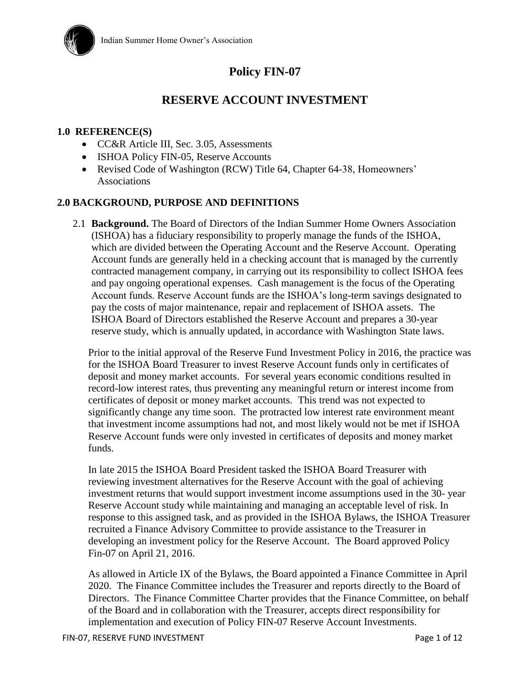

# **Policy FIN-07**

# **RESERVE ACCOUNT INVESTMENT**

### **1.0 REFERENCE(S)**

- CC&R Article III, Sec. 3.05, Assessments
- ISHOA Policy FIN-05, Reserve Accounts
- Revised Code of Washington (RCW) Title 64, Chapter 64-38, Homeowners' Associations

#### **2.0 BACKGROUND, PURPOSE AND DEFINITIONS**

2.1 **Background.** The Board of Directors of the Indian Summer Home Owners Association (ISHOA) has a fiduciary responsibility to properly manage the funds of the ISHOA, which are divided between the Operating Account and the Reserve Account. Operating Account funds are generally held in a checking account that is managed by the currently contracted management company, in carrying out its responsibility to collect ISHOA fees and pay ongoing operational expenses. Cash management is the focus of the Operating Account funds. Reserve Account funds are the ISHOA's long-term savings designated to pay the costs of major maintenance, repair and replacement of ISHOA assets. The ISHOA Board of Directors established the Reserve Account and prepares a 30-year reserve study, which is annually updated, in accordance with Washington State laws.

Prior to the initial approval of the Reserve Fund Investment Policy in 2016, the practice was for the ISHOA Board Treasurer to invest Reserve Account funds only in certificates of deposit and money market accounts. For several years economic conditions resulted in record-low interest rates, thus preventing any meaningful return or interest income from certificates of deposit or money market accounts. This trend was not expected to significantly change any time soon. The protracted low interest rate environment meant that investment income assumptions had not, and most likely would not be met if ISHOA Reserve Account funds were only invested in certificates of deposits and money market funds.

In late 2015 the ISHOA Board President tasked the ISHOA Board Treasurer with reviewing investment alternatives for the Reserve Account with the goal of achieving investment returns that would support investment income assumptions used in the 30- year Reserve Account study while maintaining and managing an acceptable level of risk. In response to this assigned task, and as provided in the ISHOA Bylaws, the ISHOA Treasurer recruited a Finance Advisory Committee to provide assistance to the Treasurer in developing an investment policy for the Reserve Account. The Board approved Policy Fin-07 on April 21, 2016.

As allowed in Article IX of the Bylaws, the Board appointed a Finance Committee in April 2020. The Finance Committee includes the Treasurer and reports directly to the Board of Directors. The Finance Committee Charter provides that the Finance Committee, on behalf of the Board and in collaboration with the Treasurer, accepts direct responsibility for implementation and execution of Policy FIN-07 Reserve Account Investments.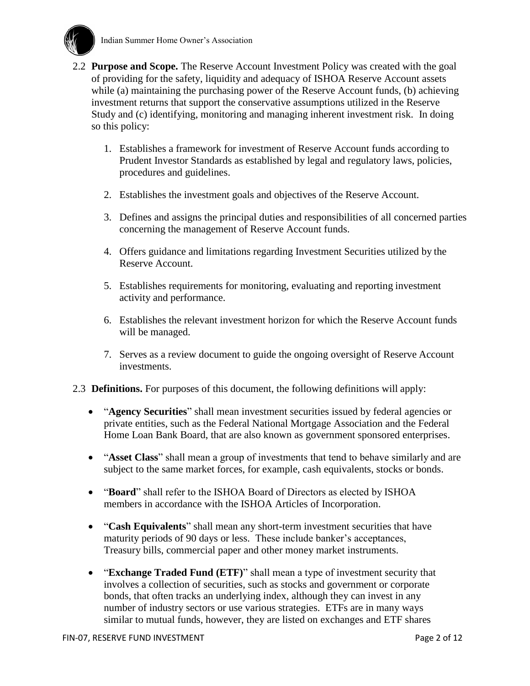

- 2.2 **Purpose and Scope.** The Reserve Account Investment Policy was created with the goal of providing for the safety, liquidity and adequacy of ISHOA Reserve Account assets while (a) maintaining the purchasing power of the Reserve Account funds, (b) achieving investment returns that support the conservative assumptions utilized in the Reserve Study and (c) identifying, monitoring and managing inherent investment risk. In doing so this policy:
	- 1. Establishes a framework for investment of Reserve Account funds according to Prudent Investor Standards as established by legal and regulatory laws, policies, procedures and guidelines.
	- 2. Establishes the investment goals and objectives of the Reserve Account.
	- 3. Defines and assigns the principal duties and responsibilities of all concerned parties concerning the management of Reserve Account funds.
	- 4. Offers guidance and limitations regarding Investment Securities utilized by the Reserve Account.
	- 5. Establishes requirements for monitoring, evaluating and reporting investment activity and performance.
	- 6. Establishes the relevant investment horizon for which the Reserve Account funds will be managed.
	- 7. Serves as a review document to guide the ongoing oversight of Reserve Account investments.
- 2.3 **Definitions.** For purposes of this document, the following definitions will apply:
	- "**Agency Securities**" shall mean investment securities issued by federal agencies or private entities, such as the Federal National Mortgage Association and the Federal Home Loan Bank Board, that are also known as government sponsored enterprises.
	- "**Asset Class**" shall mean a group of investments that tend to behave similarly and are subject to the same market forces, for example, cash equivalents, stocks or bonds.
	- "**Board**" shall refer to the ISHOA Board of Directors as elected by ISHOA members in accordance with the ISHOA Articles of Incorporation.
	- "**Cash Equivalents**" shall mean any short-term investment securities that have maturity periods of 90 days or less. These include banker's acceptances, Treasury bills, commercial paper and other money market instruments.
	- "**Exchange Traded Fund (ETF)**" shall mean a type of investment security that involves a collection of securities, such as stocks and government or corporate bonds, that often tracks an underlying index, although they can invest in any number of industry sectors or use various strategies. ETFs are in many ways similar to mutual funds, however, they are listed on exchanges and ETF shares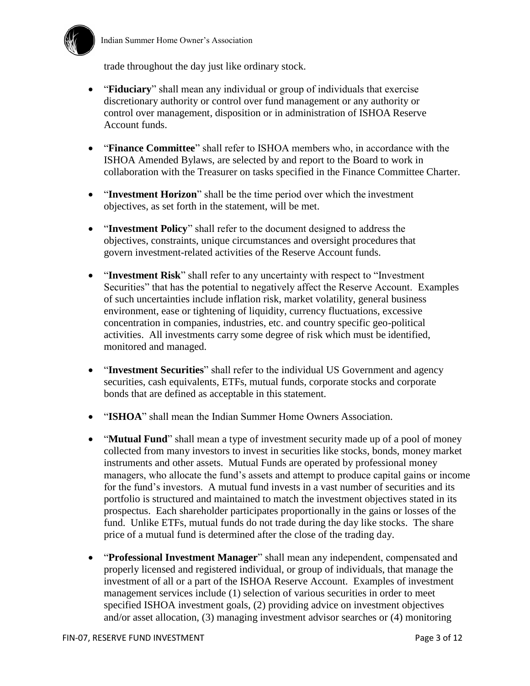

trade throughout the day just like ordinary stock.

- "**Fiduciary**" shall mean any individual or group of individuals that exercise discretionary authority or control over fund management or any authority or control over management, disposition or in administration of ISHOA Reserve Account funds.
- "**Finance Committee**" shall refer to ISHOA members who, in accordance with the ISHOA Amended Bylaws, are selected by and report to the Board to work in collaboration with the Treasurer on tasks specified in the Finance Committee Charter.
- "**Investment Horizon**" shall be the time period over which the investment objectives, as set forth in the statement, will be met.
- "**Investment Policy**" shall refer to the document designed to address the objectives, constraints, unique circumstances and oversight procedures that govern investment-related activities of the Reserve Account funds.
- "**Investment Risk**" shall refer to any uncertainty with respect to "Investment Securities" that has the potential to negatively affect the Reserve Account. Examples of such uncertainties include inflation risk, market volatility, general business environment, ease or tightening of liquidity, currency fluctuations, excessive concentration in companies, industries, etc. and country specific geo-political activities. All investments carry some degree of risk which must be identified, monitored and managed.
- "**Investment Securities**" shall refer to the individual US Government and agency securities, cash equivalents, ETFs, mutual funds, corporate stocks and corporate bonds that are defined as acceptable in this statement.
- "**ISHOA**" shall mean the Indian Summer Home Owners Association.
- "**Mutual Fund**" shall mean a type of investment security made up of a pool of money collected from many investors to invest in securities like stocks, bonds, money market instruments and other assets. Mutual Funds are operated by professional money managers, who allocate the fund's assets and attempt to produce capital gains or income for the fund's investors. A mutual fund invests in a vast number of securities and its portfolio is structured and maintained to match the investment objectives stated in its prospectus. Each shareholder participates proportionally in the gains or losses of the fund. Unlike ETFs, mutual funds do not trade during the day like stocks. The share price of a mutual fund is determined after the close of the trading day.
- "**Professional Investment Manager**" shall mean any independent, compensated and properly licensed and registered individual, or group of individuals, that manage the investment of all or a part of the ISHOA Reserve Account. Examples of investment management services include (1) selection of various securities in order to meet specified ISHOA investment goals, (2) providing advice on investment objectives and/or asset allocation, (3) managing investment advisor searches or (4) monitoring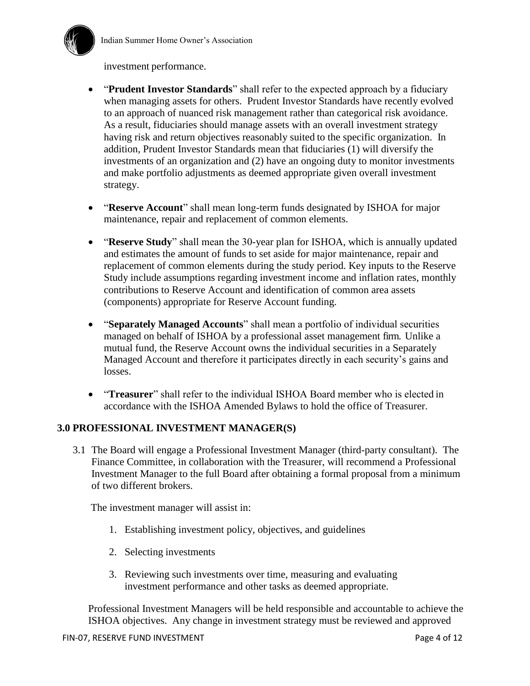

#### investment performance.

- "**Prudent Investor Standards**" shall refer to the expected approach by a fiduciary when managing assets for others. Prudent Investor Standards have recently evolved to an approach of nuanced risk management rather than categorical risk avoidance. As a result, fiduciaries should manage assets with an overall investment strategy having risk and return objectives reasonably suited to the specific organization. In addition, Prudent Investor Standards mean that fiduciaries (1) will diversify the investments of an organization and (2) have an ongoing duty to monitor investments and make portfolio adjustments as deemed appropriate given overall investment strategy.
- "**Reserve Account**" shall mean long-term funds designated by ISHOA for major maintenance, repair and replacement of common elements.
- "**Reserve Study**" shall mean the 30-year plan for ISHOA, which is annually updated and estimates the amount of funds to set aside for major maintenance, repair and replacement of common elements during the study period. Key inputs to the Reserve Study include assumptions regarding investment income and inflation rates, monthly contributions to Reserve Account and identification of common area assets (components) appropriate for Reserve Account funding.
- "**Separately Managed Accounts**" shall mean a portfolio of individual securities managed on behalf of ISHOA by a professional asset management firm. Unlike a mutual fund, the Reserve Account owns the individual securities in a Separately Managed Account and therefore it participates directly in each security's gains and losses.
- "**Treasurer**" shall refer to the individual ISHOA Board member who is elected in accordance with the ISHOA Amended Bylaws to hold the office of Treasurer.

### **3.0 PROFESSIONAL INVESTMENT MANAGER(S)**

3.1 The Board will engage a Professional Investment Manager (third-party consultant). The Finance Committee, in collaboration with the Treasurer, will recommend a Professional Investment Manager to the full Board after obtaining a formal proposal from a minimum of two different brokers.

The investment manager will assist in:

- 1. Establishing investment policy, objectives, and guidelines
- 2. Selecting investments
- 3. Reviewing such investments over time, measuring and evaluating investment performance and other tasks as deemed appropriate.

Professional Investment Managers will be held responsible and accountable to achieve the ISHOA objectives. Any change in investment strategy must be reviewed and approved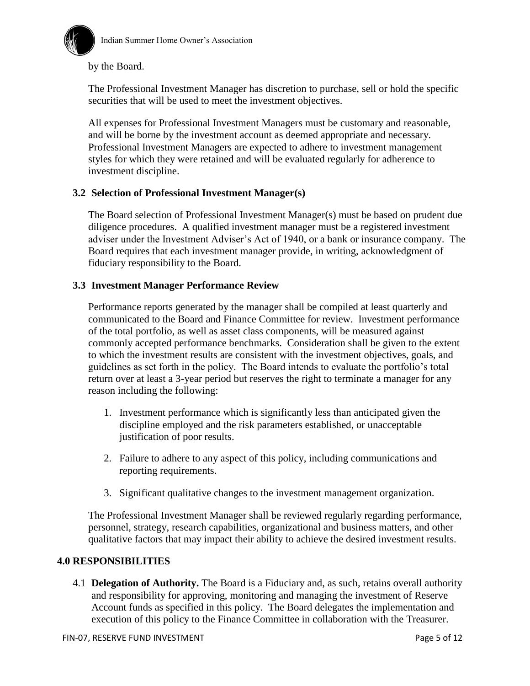

by the Board.

The Professional Investment Manager has discretion to purchase, sell or hold the specific securities that will be used to meet the investment objectives.

All expenses for Professional Investment Managers must be customary and reasonable, and will be borne by the investment account as deemed appropriate and necessary. Professional Investment Managers are expected to adhere to investment management styles for which they were retained and will be evaluated regularly for adherence to investment discipline.

### **3.2 Selection of Professional Investment Manager(s)**

The Board selection of Professional Investment Manager(s) must be based on prudent due diligence procedures. A qualified investment manager must be a registered investment adviser under the Investment Adviser's Act of 1940, or a bank or insurance company. The Board requires that each investment manager provide, in writing, acknowledgment of fiduciary responsibility to the Board.

### **3.3 Investment Manager Performance Review**

Performance reports generated by the manager shall be compiled at least quarterly and communicated to the Board and Finance Committee for review. Investment performance of the total portfolio, as well as asset class components, will be measured against commonly accepted performance benchmarks. Consideration shall be given to the extent to which the investment results are consistent with the investment objectives, goals, and guidelines as set forth in the policy. The Board intends to evaluate the portfolio's total return over at least a 3-year period but reserves the right to terminate a manager for any reason including the following:

- 1. Investment performance which is significantly less than anticipated given the discipline employed and the risk parameters established, or unacceptable justification of poor results.
- 2. Failure to adhere to any aspect of this policy, including communications and reporting requirements.
- 3. Significant qualitative changes to the investment management organization.

The Professional Investment Manager shall be reviewed regularly regarding performance, personnel, strategy, research capabilities, organizational and business matters, and other qualitative factors that may impact their ability to achieve the desired investment results.

### **4.0 RESPONSIBILITIES**

4.1 **Delegation of Authority.** The Board is a Fiduciary and, as such, retains overall authority and responsibility for approving, monitoring and managing the investment of Reserve Account funds as specified in this policy. The Board delegates the implementation and execution of this policy to the Finance Committee in collaboration with the Treasurer.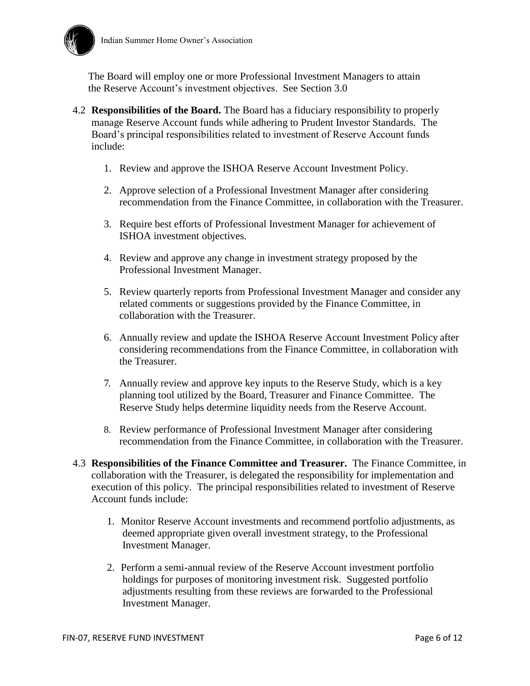

The Board will employ one or more Professional Investment Managers to attain the Reserve Account's investment objectives. See Section 3.0

- 4.2 **Responsibilities of the Board.** The Board has a fiduciary responsibility to properly manage Reserve Account funds while adhering to Prudent Investor Standards. The Board's principal responsibilities related to investment of Reserve Account funds include:
	- 1. Review and approve the ISHOA Reserve Account Investment Policy.
	- 2. Approve selection of a Professional Investment Manager after considering recommendation from the Finance Committee, in collaboration with the Treasurer.
	- 3. Require best efforts of Professional Investment Manager for achievement of ISHOA investment objectives.
	- 4. Review and approve any change in investment strategy proposed by the Professional Investment Manager.
	- 5. Review quarterly reports from Professional Investment Manager and consider any related comments or suggestions provided by the Finance Committee, in collaboration with the Treasurer.
	- 6. Annually review and update the ISHOA Reserve Account Investment Policy after considering recommendations from the Finance Committee, in collaboration with the Treasurer.
	- 7. Annually review and approve key inputs to the Reserve Study, which is a key planning tool utilized by the Board, Treasurer and Finance Committee. The Reserve Study helps determine liquidity needs from the Reserve Account.
	- 8. Review performance of Professional Investment Manager after considering recommendation from the Finance Committee, in collaboration with the Treasurer.
- 4.3 **Responsibilities of the Finance Committee and Treasurer.** The Finance Committee, in collaboration with the Treasurer, is delegated the responsibility for implementation and execution of this policy. The principal responsibilities related to investment of Reserve Account funds include:
	- 1. Monitor Reserve Account investments and recommend portfolio adjustments, as deemed appropriate given overall investment strategy, to the Professional Investment Manager.
	- 2. Perform a semi-annual review of the Reserve Account investment portfolio holdings for purposes of monitoring investment risk. Suggested portfolio adjustments resulting from these reviews are forwarded to the Professional Investment Manager.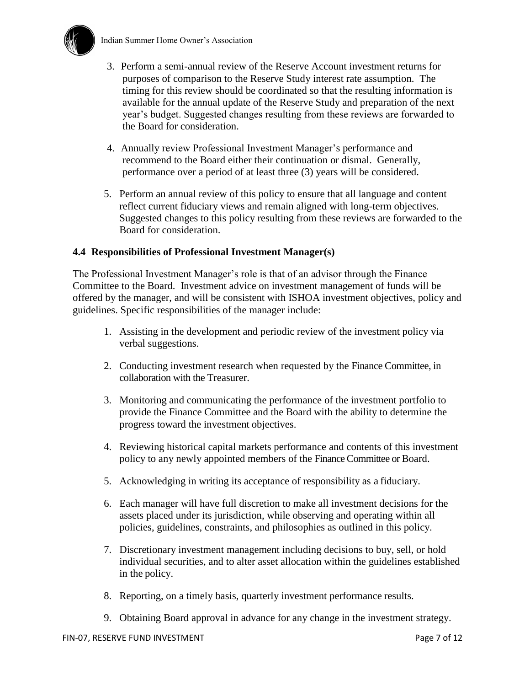

- 3. Perform a semi-annual review of the Reserve Account investment returns for purposes of comparison to the Reserve Study interest rate assumption. The timing for this review should be coordinated so that the resulting information is available for the annual update of the Reserve Study and preparation of the next year's budget. Suggested changes resulting from these reviews are forwarded to the Board for consideration.
- 4. Annually review Professional Investment Manager's performance and recommend to the Board either their continuation or dismal. Generally, performance over a period of at least three (3) years will be considered.
- 5. Perform an annual review of this policy to ensure that all language and content reflect current fiduciary views and remain aligned with long-term objectives. Suggested changes to this policy resulting from these reviews are forwarded to the Board for consideration.

### **4.4 Responsibilities of Professional Investment Manager(s)**

The Professional Investment Manager's role is that of an advisor through the Finance Committee to the Board. Investment advice on investment management of funds will be offered by the manager, and will be consistent with ISHOA investment objectives, policy and guidelines. Specific responsibilities of the manager include:

- 1. Assisting in the development and periodic review of the investment policy via verbal suggestions.
- 2. Conducting investment research when requested by the Finance Committee, in collaboration with the Treasurer.
- 3. Monitoring and communicating the performance of the investment portfolio to provide the Finance Committee and the Board with the ability to determine the progress toward the investment objectives.
- 4. Reviewing historical capital markets performance and contents of this investment policy to any newly appointed members of the Finance Committee or Board.
- 5. Acknowledging in writing its acceptance of responsibility as a fiduciary.
- 6. Each manager will have full discretion to make all investment decisions for the assets placed under its jurisdiction, while observing and operating within all policies, guidelines, constraints, and philosophies as outlined in this policy.
- 7. Discretionary investment management including decisions to buy, sell, or hold individual securities, and to alter asset allocation within the guidelines established in the policy.
- 8. Reporting, on a timely basis, quarterly investment performance results.
- 9. Obtaining Board approval in advance for any change in the investment strategy.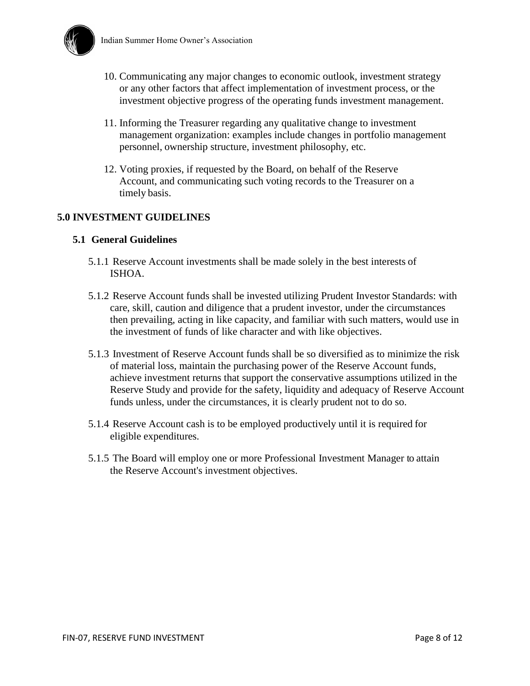

- 10. Communicating any major changes to economic outlook, investment strategy or any other factors that affect implementation of investment process, or the investment objective progress of the operating funds investment management.
- 11. Informing the Treasurer regarding any qualitative change to investment management organization: examples include changes in portfolio management personnel, ownership structure, investment philosophy, etc.
- 12. Voting proxies, if requested by the Board, on behalf of the Reserve Account, and communicating such voting records to the Treasurer on a timely basis.

## **5.0 INVESTMENT GUIDELINES**

#### **5.1 General Guidelines**

- 5.1.1 Reserve Account investments shall be made solely in the best interests of ISHOA.
- 5.1.2 Reserve Account funds shall be invested utilizing Prudent Investor Standards: with care, skill, caution and diligence that a prudent investor, under the circumstances then prevailing, acting in like capacity, and familiar with such matters, would use in the investment of funds of like character and with like objectives.
- 5.1.3 Investment of Reserve Account funds shall be so diversified as to minimize the risk of material loss, maintain the purchasing power of the Reserve Account funds, achieve investment returns that support the conservative assumptions utilized in the Reserve Study and provide for the safety, liquidity and adequacy of Reserve Account funds unless, under the circumstances, it is clearly prudent not to do so.
- 5.1.4 Reserve Account cash is to be employed productively until it is required for eligible expenditures.
- 5.1.5 The Board will employ one or more Professional Investment Manager to attain the Reserve Account's investment objectives.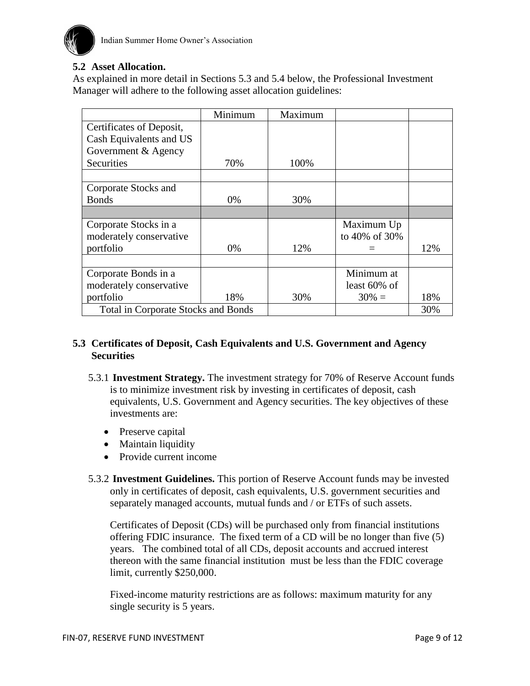

### **5.2 Asset Allocation.**

As explained in more detail in Sections 5.3 and 5.4 below, the Professional Investment Manager will adhere to the following asset allocation guidelines:

|                                            | Minimum | Maximum |                 |     |
|--------------------------------------------|---------|---------|-----------------|-----|
| Certificates of Deposit,                   |         |         |                 |     |
| Cash Equivalents and US                    |         |         |                 |     |
| Government & Agency                        |         |         |                 |     |
| Securities                                 | 70%     | 100%    |                 |     |
|                                            |         |         |                 |     |
| Corporate Stocks and                       |         |         |                 |     |
| <b>Bonds</b>                               | 0%      | 30%     |                 |     |
|                                            |         |         |                 |     |
| Corporate Stocks in a                      |         |         | Maximum Up      |     |
| moderately conservative                    |         |         | to 40% of 30%   |     |
| portfolio                                  | 0%      | 12%     |                 | 12% |
|                                            |         |         |                 |     |
| Corporate Bonds in a                       |         |         | Minimum at      |     |
| moderately conservative                    |         |         | least $60\%$ of |     |
| portfolio                                  | 18%     | 30%     | $30\% =$        | 18% |
| <b>Total in Corporate Stocks and Bonds</b> |         |         |                 | 30% |

### **5.3 Certificates of Deposit, Cash Equivalents and U.S. Government and Agency Securities**

- 5.3.1 **Investment Strategy.** The investment strategy for 70% of Reserve Account funds is to minimize investment risk by investing in certificates of deposit, cash equivalents, U.S. Government and Agency securities. The key objectives of these investments are:
	- Preserve capital
	- Maintain liquidity
	- Provide current income
- 5.3.2 **Investment Guidelines.** This portion of Reserve Account funds may be invested only in certificates of deposit, cash equivalents, U.S. government securities and separately managed accounts, mutual funds and / or ETFs of such assets.

Certificates of Deposit (CDs) will be purchased only from financial institutions offering FDIC insurance. The fixed term of a CD will be no longer than five (5) years. The combined total of all CDs, deposit accounts and accrued interest thereon with the same financial institution must be less than the FDIC coverage limit, currently \$250,000.

Fixed-income maturity restrictions are as follows: maximum maturity for any single security is 5 years.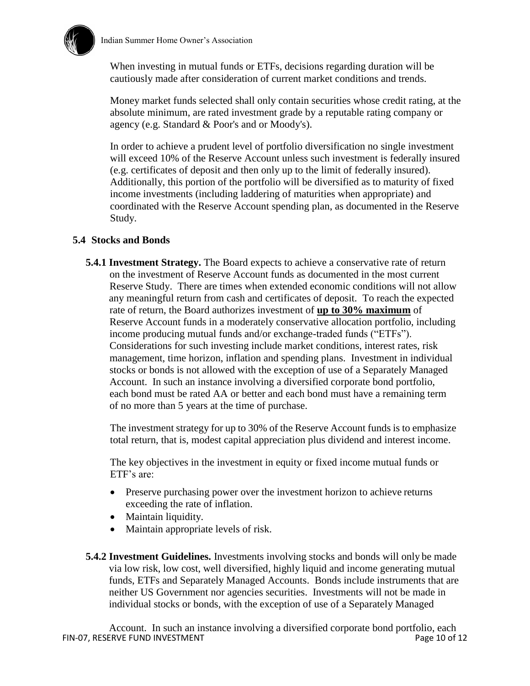

When investing in mutual funds or ETFs, decisions regarding duration will be cautiously made after consideration of current market conditions and trends.

Money market funds selected shall only contain securities whose credit rating, at the absolute minimum, are rated investment grade by a reputable rating company or agency (e.g. Standard & Poor's and or Moody's).

In order to achieve a prudent level of portfolio diversification no single investment will exceed 10% of the Reserve Account unless such investment is federally insured (e.g. certificates of deposit and then only up to the limit of federally insured). Additionally, this portion of the portfolio will be diversified as to maturity of fixed income investments (including laddering of maturities when appropriate) and coordinated with the Reserve Account spending plan, as documented in the Reserve Study.

### **5.4 Stocks and Bonds**

**5.4.1 Investment Strategy.** The Board expects to achieve a conservative rate of return on the investment of Reserve Account funds as documented in the most current Reserve Study. There are times when extended economic conditions will not allow any meaningful return from cash and certificates of deposit. To reach the expected rate of return, the Board authorizes investment of **up to 30% maximum** of Reserve Account funds in a moderately conservative allocation portfolio, including income producing mutual funds and/or exchange-traded funds ("ETFs"). Considerations for such investing include market conditions, interest rates, risk management, time horizon, inflation and spending plans. Investment in individual stocks or bonds is not allowed with the exception of use of a Separately Managed Account. In such an instance involving a diversified corporate bond portfolio, each bond must be rated AA or better and each bond must have a remaining term of no more than 5 years at the time of purchase.

The investment strategy for up to 30% of the Reserve Account funds is to emphasize total return, that is, modest capital appreciation plus dividend and interest income.

The key objectives in the investment in equity or fixed income mutual funds or ETF's are:

- Preserve purchasing power over the investment horizon to achieve returns exceeding the rate of inflation.
- Maintain liquidity.
- Maintain appropriate levels of risk.
- **5.4.2 Investment Guidelines.** Investments involving stocks and bonds will only be made via low risk, low cost, well diversified, highly liquid and income generating mutual funds, ETFs and Separately Managed Accounts. Bonds include instruments that are neither US Government nor agencies securities. Investments will not be made in individual stocks or bonds, with the exception of use of a Separately Managed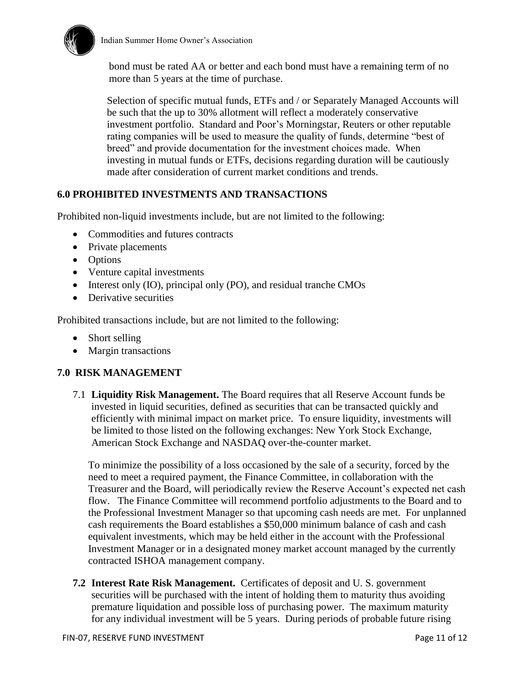

 bond must be rated AA or better and each bond must have a remaining term of no more than 5 years at the time of purchase.

Selection of specific mutual funds, ETFs and / or Separately Managed Accounts will be such that the up to 30% allotment will reflect a moderately conservative investment portfolio. Standard and Poor's Morningstar, Reuters or other reputable rating companies will be used to measure the quality of funds, determine "best of breed" and provide documentation for the investment choices made. When investing in mutual funds or ETFs, decisions regarding duration will be cautiously made after consideration of current market conditions and trends.

## **6.0 PROHIBITED INVESTMENTS AND TRANSACTIONS**

Prohibited non-liquid investments include, but are not limited to the following:

- Commodities and futures contracts
- Private placements
- Options
- Venture capital investments
- Interest only (IO), principal only (PO), and residual tranche CMOs
- Derivative securities

Prohibited transactions include, but are not limited to the following:

- Short selling
- Margin transactions

## **7.0 RISK MANAGEMENT**

7.1 **Liquidity Risk Management.** The Board requires that all Reserve Account funds be invested in liquid securities, defined as securities that can be transacted quickly and efficiently with minimal impact on market price. To ensure liquidity, investments will be limited to those listed on the following exchanges: New York Stock Exchange, American Stock Exchange and NASDAQ over-the-counter market.

To minimize the possibility of a loss occasioned by the sale of a security, forced by the need to meet a required payment, the Finance Committee, in collaboration with the Treasurer and the Board, will periodically review the Reserve Account's expected net cash flow. The Finance Committee will recommend portfolio adjustments to the Board and to the Professional Investment Manager so that upcoming cash needs are met. For unplanned cash requirements the Board establishes a \$50,000 minimum balance of cash and cash equivalent investments, which may be held either in the account with the Professional Investment Manager or in a designated money market account managed by the currently contracted ISHOA management company.

**7.2 Interest Rate Risk Management.** Certificates of deposit and U. S. government securities will be purchased with the intent of holding them to maturity thus avoiding premature liquidation and possible loss of purchasing power. The maximum maturity for any individual investment will be 5 years. During periods of probable future rising